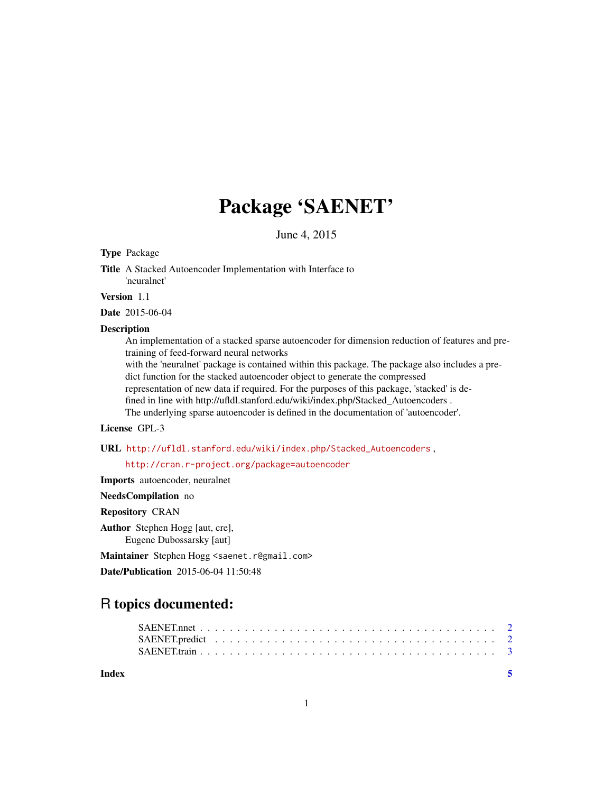# Package 'SAENET'

June 4, 2015

# Type Package

Title A Stacked Autoencoder Implementation with Interface to 'neuralnet'

Version 1.1

Date 2015-06-04

#### **Description**

An implementation of a stacked sparse autoencoder for dimension reduction of features and pretraining of feed-forward neural networks

with the 'neuralnet' package is contained within this package. The package also includes a predict function for the stacked autoencoder object to generate the compressed

representation of new data if required. For the purposes of this package, 'stacked' is de-

fined in line with http://ufldl.stanford.edu/wiki/index.php/Stacked\_Autoencoders .

The underlying sparse autoencoder is defined in the documentation of 'autoencoder'.

# License GPL-3

URL [http://ufldl.stanford.edu/wiki/index.php/Stacked\\_Autoencoders](http://ufldl.stanford.edu/wiki/index.php/Stacked_Autoencoders) ,

<http://cran.r-project.org/package=autoencoder>

Imports autoencoder, neuralnet

NeedsCompilation no

Repository CRAN

Author Stephen Hogg [aut, cre], Eugene Dubossarsky [aut]

Maintainer Stephen Hogg <saenet.r@gmail.com>

Date/Publication 2015-06-04 11:50:48

# R topics documented:

**Index** [5](#page-4-0)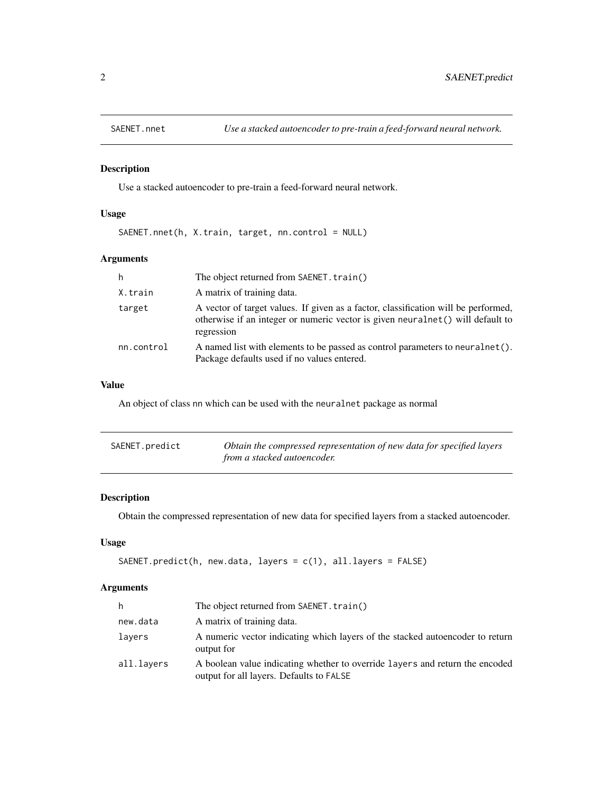<span id="page-1-0"></span>

#### Description

Use a stacked autoencoder to pre-train a feed-forward neural network.

# Usage

SAENET.nnet(h, X.train, target, nn.control = NULL)

# Arguments

| h          | The object returned from SAENET. train()                                                                                                                                            |
|------------|-------------------------------------------------------------------------------------------------------------------------------------------------------------------------------------|
| X.train    | A matrix of training data.                                                                                                                                                          |
| target     | A vector of target values. If given as a factor, classification will be performed,<br>otherwise if an integer or numeric vector is given neuralnet () will default to<br>regression |
| nn.control | A named list with elements to be passed as control parameters to neural net ().<br>Package defaults used if no values entered.                                                      |

#### Value

An object of class nn which can be used with the neuralnet package as normal

| SAENET.predict | Obtain the compressed representation of new data for specified layers |
|----------------|-----------------------------------------------------------------------|
|                | from a stacked autoencoder.                                           |

# Description

Obtain the compressed representation of new data for specified layers from a stacked autoencoder.

# Usage

```
SAENET.predict(h, new.data, layers = c(1), all.layers = FALSE)
```
# Arguments

| h.         | The object returned from SAENET. train()                                                                                 |
|------------|--------------------------------------------------------------------------------------------------------------------------|
| new.data   | A matrix of training data.                                                                                               |
| lavers     | A numeric vector indicating which layers of the stacked autoencoder to return<br>output for                              |
| all.layers | A boolean value indicating whether to override layers and return the encoded<br>output for all layers. Defaults to FALSE |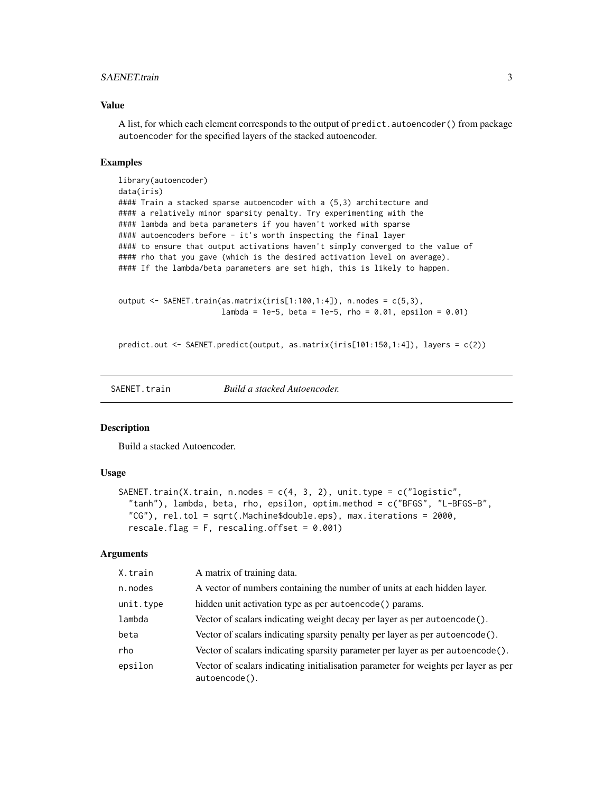#### <span id="page-2-0"></span>SAENET.train 3

#### Value

A list, for which each element corresponds to the output of predict.autoencoder() from package autoencoder for the specified layers of the stacked autoencoder.

#### Examples

```
library(autoencoder)
data(iris)
#### Train a stacked sparse autoencoder with a (5,3) architecture and
#### a relatively minor sparsity penalty. Try experimenting with the
#### lambda and beta parameters if you haven't worked with sparse
#### autoencoders before - it's worth inspecting the final layer
#### to ensure that output activations haven't simply converged to the value of
#### rho that you gave (which is the desired activation level on average).
#### If the lambda/beta parameters are set high, this is likely to happen.
```

```
output \leq SAENET.train(as.matrix(iris[1:100,1:4]), n.nodes = c(5,3),
                       lambda = 1e-5, beta = 1e-5, rho = 0.01, epsilon = 0.01)
```
predict.out <- SAENET.predict(output, as.matrix(iris[101:150,1:4]), layers = c(2))

SAENET.train *Build a stacked Autoencoder.*

#### **Description**

Build a stacked Autoencoder.

#### Usage

```
SAENET.train(X.train, n.nodes = c(4, 3, 2), unit.type = c("logistic","tanh"), lambda, beta, rho, epsilon, optim.method = c("BFGS", "L-BFGS-B",
  "CG"), rel.tol = sqrt(.Machine$double.eps), max.iterations = 2000,
  rescale.flag = F, rescaling.offset = 0.001)
```
#### Arguments

| X.train   | A matrix of training data.                                                                          |
|-----------|-----------------------------------------------------------------------------------------------------|
| n.nodes   | A vector of numbers containing the number of units at each hidden layer.                            |
| unit.type | hidden unit activation type as per autoencode () params.                                            |
| lambda    | Vector of scalars indicating weight decay per layer as per autoencode().                            |
| beta      | Vector of scalars indicating sparsity penalty per layer as per autoencode().                        |
| rho       | Vector of scalars indicating sparsity parameter per layer as per autoencode().                      |
| epsilon   | Vector of scalars indicating initialisation parameter for weights per layer as per<br>autoencode(). |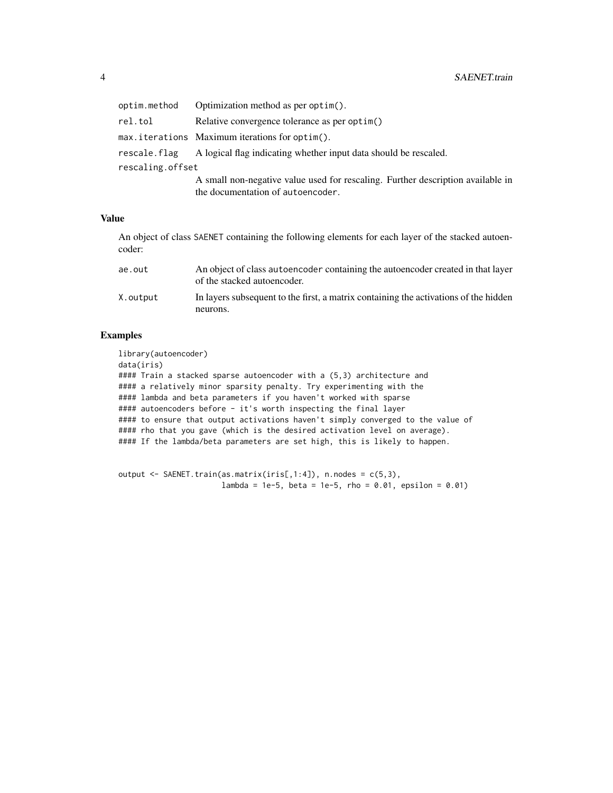| optim.method     | Optimization method as per optim().                                             |
|------------------|---------------------------------------------------------------------------------|
| rel.tol          | Relative convergence tolerance as per optim()                                   |
|                  | max.iterations Maximum iterations for optim().                                  |
| rescale.flag     | A logical flag indicating whether input data should be rescaled.                |
| rescaling.offset |                                                                                 |
|                  | A small non-negative value used for rescaling. Further description available in |
|                  | the documentation of autoencoder.                                               |

#### Value

An object of class SAENET containing the following elements for each layer of the stacked autoencoder:

| ae.out   | An object of class autoencoder containing the autoencoder created in that layer<br>of the stacked autoencoder. |
|----------|----------------------------------------------------------------------------------------------------------------|
| X.output | In layers subsequent to the first, a matrix containing the activations of the hidden                           |
|          | neurons.                                                                                                       |

# Examples

library(autoencoder) data(iris) #### Train a stacked sparse autoencoder with a (5,3) architecture and #### a relatively minor sparsity penalty. Try experimenting with the #### lambda and beta parameters if you haven't worked with sparse #### autoencoders before - it's worth inspecting the final layer #### to ensure that output activations haven't simply converged to the value of #### rho that you gave (which is the desired activation level on average). #### If the lambda/beta parameters are set high, this is likely to happen.

```
output \leq SAENET.train(as.matrix(iris[,1:4]), n.nodes = c(5,3),
                       lambda = 1e-5, beta = 1e-5, rho = 0.01, epsilon = 0.01)
```